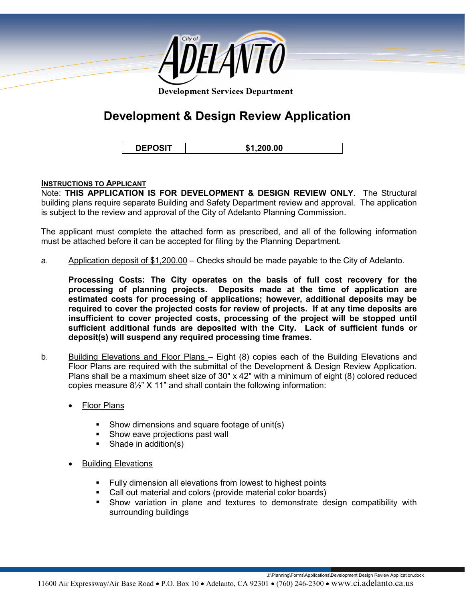

**Development Services Department**

# **Development & Design Review Application**

**DEPOSIT \$1,200.00**

## **INSTRUCTIONS TO APPLICANT**

Note: **THIS APPLICATION IS FOR DEVELOPMENT & DESIGN REVIEW ONLY**. The Structural building plans require separate Building and Safety Department review and approval. The application is subject to the review and approval of the City of Adelanto Planning Commission.

The applicant must complete the attached form as prescribed, and all of the following information must be attached before it can be accepted for filing by the Planning Department.

a. Application deposit of \$1,200.00 – Checks should be made payable to the City of Adelanto.

**Processing Costs: The City operates on the basis of full cost recovery for the processing of planning projects. Deposits made at the time of application are estimated costs for processing of applications; however, additional deposits may be required to cover the projected costs for review of projects. If at any time deposits are insufficient to cover projected costs, processing of the project will be stopped until sufficient additional funds are deposited with the City. Lack of sufficient funds or deposit(s) will suspend any required processing time frames.**

- b. Building Elevations and Floor Plans Eight (8) copies each of the Building Elevations and Floor Plans are required with the submittal of the Development & Design Review Application. Plans shall be a maximum sheet size of 30" x 42" with a minimum of eight (8) colored reduced copies measure 8½" X 11" and shall contain the following information:
	- Floor Plans
		- Show dimensions and square footage of unit(s)
		- Show eave projections past wall
		- Shade in addition(s)
	- Building Elevations
		- **Fully dimension all elevations from lowest to highest points**
		- Call out material and colors (provide material color boards)
		- Show variation in plane and textures to demonstrate design compatibility with surrounding buildings

J:\Planning\Forms\Applications\Development Design Review Application.docx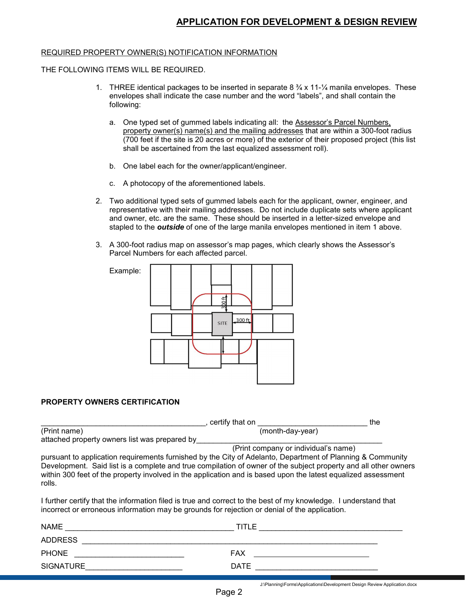#### REQUIRED PROPERTY OWNER(S) NOTIFICATION INFORMATION

#### THE FOLLOWING ITEMS WILL BE REQUIRED.

- 1. THREE identical packages to be inserted in separate 8  $\frac{3}{4}$  x 11- $\frac{1}{4}$  manila envelopes. These envelopes shall indicate the case number and the word "labels", and shall contain the following:
	- a. One typed set of gummed labels indicating all: the Assessor's Parcel Numbers, property owner(s) name(s) and the mailing addresses that are within a 300-foot radius (700 feet if the site is 20 acres or more) of the exterior of their proposed project (this list shall be ascertained from the last equalized assessment roll).
	- b. One label each for the owner/applicant/engineer.
	- c. A photocopy of the aforementioned labels.
- 2. Two additional typed sets of gummed labels each for the applicant, owner, engineer, and representative with their mailing addresses. Do not include duplicate sets where applicant and owner, etc. are the same. These should be inserted in a letter-sized envelope and stapled to the *outside* of one of the large manila envelopes mentioned in item 1 above.
- 3. A 300-foot radius map on assessor's map pages, which clearly shows the Assessor's Parcel Numbers for each affected parcel.



### **PROPERTY OWNERS CERTIFICATION**

|                                               | certify that on  | the |
|-----------------------------------------------|------------------|-----|
| (Print name)                                  | (month-day-year) |     |
| attached property owners list was prepared by |                  |     |

(Print company or individual's name)

pursuant to application requirements furnished by the City of Adelanto, Department of Planning & Community Development. Said list is a complete and true compilation of owner of the subject property and all other owners within 300 feet of the property involved in the application and is based upon the latest equalized assessment rolls.

I further certify that the information filed is true and correct to the best of my knowledge. I understand that incorrect or erroneous information may be grounds for rejection or denial of the application.

| <b>NAME</b>      | TITLE       |
|------------------|-------------|
| <b>ADDRESS</b>   |             |
| <b>PHONE</b>     | <b>FAX</b>  |
| <b>SIGNATURE</b> | <b>DATE</b> |